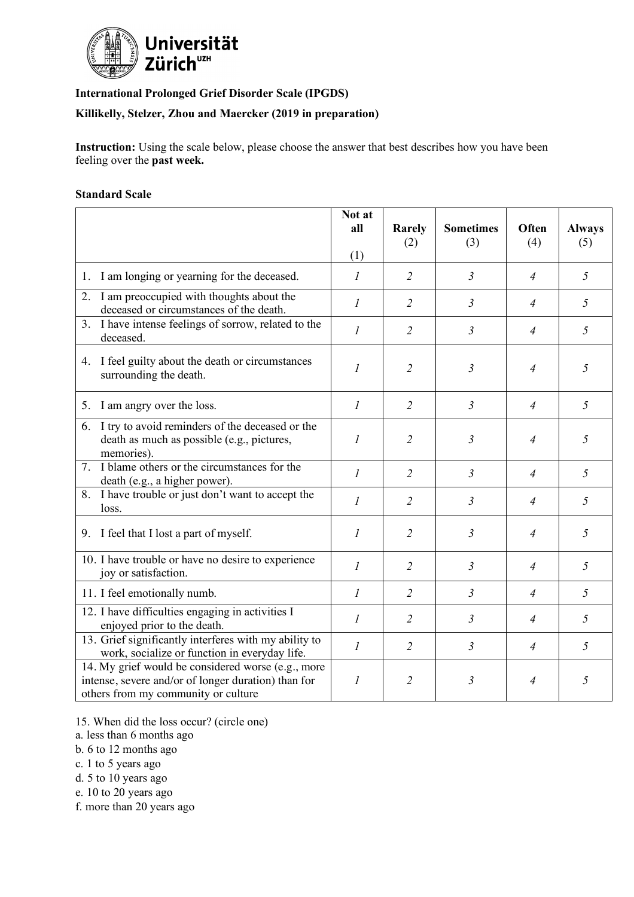

## **International Prolonged Grief Disorder Scale (IPGDS)**

## **Killikelly, Stelzer, Zhou and Maercker (2019 in preparation)**

**Instruction:** Using the scale below, please choose the answer that best describes how you have been feeling over the **past week.**

## **Standard Scale**

|                                                                                                                                                  | Not at<br>all<br>(1) | Rarely<br>(2)  | <b>Sometimes</b><br>(3) | Often<br>(4)   | <b>Always</b><br>(5) |
|--------------------------------------------------------------------------------------------------------------------------------------------------|----------------------|----------------|-------------------------|----------------|----------------------|
| 1. I am longing or yearning for the deceased.                                                                                                    | 1                    | $\overline{2}$ | $\mathfrak{Z}$          | $\overline{4}$ | 5                    |
| I am preoccupied with thoughts about the<br>2.<br>deceased or circumstances of the death.                                                        | $\mathfrak{I}$       | $\overline{2}$ | $\mathfrak{Z}$          | $\overline{4}$ | 5                    |
| 3. I have intense feelings of sorrow, related to the<br>deceased.                                                                                | 1                    | 2              | $\mathfrak{Z}$          | $\overline{4}$ | 5                    |
| 4. I feel guilty about the death or circumstances<br>surrounding the death.                                                                      | $\boldsymbol{l}$     | 2              | $\mathfrak{Z}$          | $\overline{4}$ | 5                    |
| 5. I am angry over the loss.                                                                                                                     | $\mathfrak{I}$       | $\overline{2}$ | $\mathfrak{Z}$          | $\overline{4}$ | 5                    |
| 6. I try to avoid reminders of the deceased or the<br>death as much as possible (e.g., pictures,<br>memories).                                   | $\boldsymbol{l}$     | $\overline{2}$ | $\mathfrak{Z}$          | $\overline{4}$ | 5                    |
| 7. I blame others or the circumstances for the<br>death (e.g., a higher power).                                                                  | 1                    | $\overline{2}$ | $\mathfrak{Z}$          | $\overline{4}$ | 5                    |
| 8. I have trouble or just don't want to accept the<br>loss.                                                                                      | $\mathfrak{I}$       | $\overline{2}$ | $\mathfrak{Z}$          | $\overline{4}$ | 5                    |
| 9. I feel that I lost a part of myself.                                                                                                          | 1                    | $\overline{2}$ | $\mathfrak{Z}$          | $\overline{4}$ | 5                    |
| 10. I have trouble or have no desire to experience<br>joy or satisfaction.                                                                       | $\mathfrak{I}$       | $\overline{2}$ | $\mathfrak{Z}$          | $\overline{4}$ | 5                    |
| 11. I feel emotionally numb.                                                                                                                     | 1                    | $\overline{2}$ | $\mathfrak{Z}$          | $\overline{4}$ | 5                    |
| 12. I have difficulties engaging in activities I<br>enjoyed prior to the death.                                                                  | 1                    | $\overline{2}$ | $\mathfrak{Z}$          | $\overline{4}$ | 5                    |
| 13. Grief significantly interferes with my ability to<br>work, socialize or function in everyday life.                                           | $\mathcal{I}$        | $\overline{2}$ | $\mathfrak{Z}$          | $\overline{4}$ | 5                    |
| 14. My grief would be considered worse (e.g., more<br>intense, severe and/or of longer duration) than for<br>others from my community or culture | 1                    | 2              | 3                       | 4              | 5                    |

- 15. When did the loss occur? (circle one)
- a. less than 6 months ago
- b. 6 to 12 months ago
- c. 1 to 5 years ago
- d. 5 to 10 years ago
- e. 10 to 20 years ago
- f. more than 20 years ago